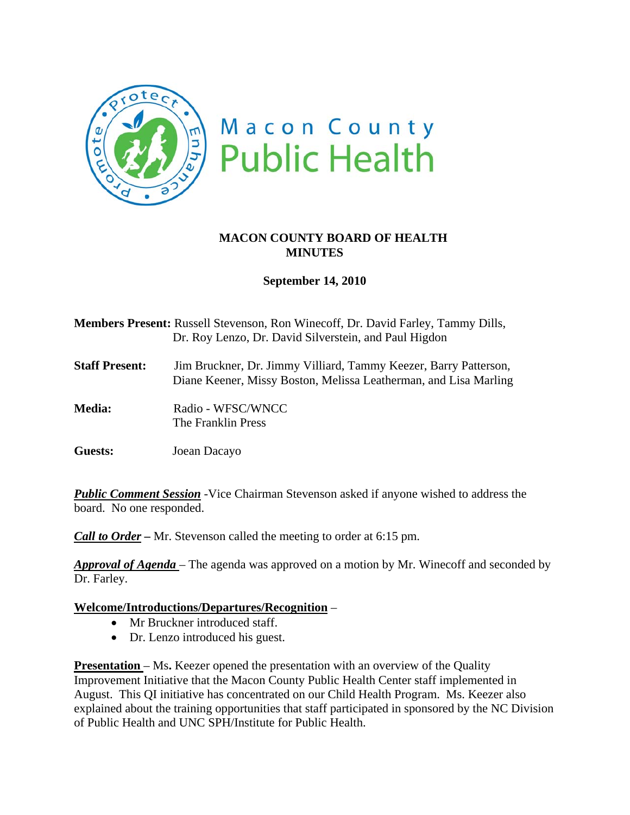

# **MACON COUNTY BOARD OF HEALTH MINUTES**

# **September 14, 2010**

**Members Present:** Russell Stevenson, Ron Winecoff, Dr. David Farley, Tammy Dills, Dr. Roy Lenzo, Dr. David Silverstein, and Paul Higdon

**Staff Present:** Jim Bruckner, Dr. Jimmy Villiard, Tammy Keezer, Barry Patterson, Diane Keener, Missy Boston, Melissa Leatherman, and Lisa Marling

Media: Radio - WFSC/WNCC The Franklin Press

**Guests:** Joean Dacayo

**Public Comment Session** -Vice Chairman Stevenson asked if anyone wished to address the board. No one responded.

*Call to Order –* Mr. Stevenson called the meeting to order at 6:15 pm.

*Approval of Agenda* – The agenda was approved on a motion by Mr. Winecoff and seconded by Dr. Farley.

### **Welcome/Introductions/Departures/Recognition** –

- Mr Bruckner introduced staff.
- Dr. Lenzo introduced his guest.

**Presentation** – Ms. Keezer opened the presentation with an overview of the Quality Improvement Initiative that the Macon County Public Health Center staff implemented in August. This QI initiative has concentrated on our Child Health Program. Ms. Keezer also explained about the training opportunities that staff participated in sponsored by the NC Division of Public Health and UNC SPH/Institute for Public Health.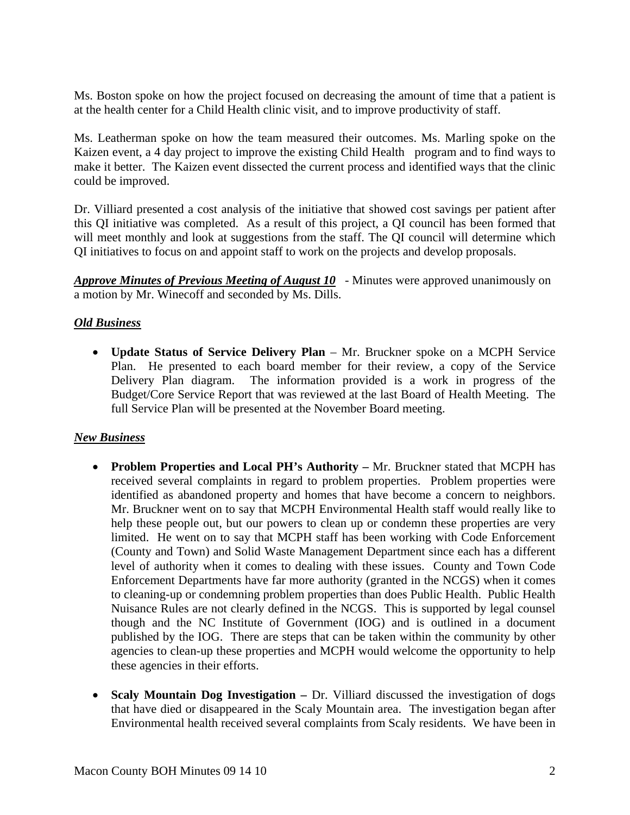Ms. Boston spoke on how the project focused on decreasing the amount of time that a patient is at the health center for a Child Health clinic visit, and to improve productivity of staff.

Ms. Leatherman spoke on how the team measured their outcomes. Ms. Marling spoke on the Kaizen event, a 4 day project to improve the existing Child Health program and to find ways to make it better. The Kaizen event dissected the current process and identified ways that the clinic could be improved.

Dr. Villiard presented a cost analysis of the initiative that showed cost savings per patient after this QI initiative was completed. As a result of this project, a QI council has been formed that will meet monthly and look at suggestions from the staff. The QI council will determine which QI initiatives to focus on and appoint staff to work on the projects and develop proposals.

*Approve Minutes of Previous Meeting of August 10* - Minutes were approved unanimously on a motion by Mr. Winecoff and seconded by Ms. Dills.

## *Old Business*

• **Update Status of Service Delivery Plan** – Mr. Bruckner spoke on a MCPH Service Plan. He presented to each board member for their review, a copy of the Service Delivery Plan diagram. The information provided is a work in progress of the Budget/Core Service Report that was reviewed at the last Board of Health Meeting. The full Service Plan will be presented at the November Board meeting.

### *New Business*

- **Problem Properties and Local PH's Authority** Mr. Bruckner stated that MCPH has received several complaints in regard to problem properties. Problem properties were identified as abandoned property and homes that have become a concern to neighbors. Mr. Bruckner went on to say that MCPH Environmental Health staff would really like to help these people out, but our powers to clean up or condemn these properties are very limited. He went on to say that MCPH staff has been working with Code Enforcement (County and Town) and Solid Waste Management Department since each has a different level of authority when it comes to dealing with these issues. County and Town Code Enforcement Departments have far more authority (granted in the NCGS) when it comes to cleaning-up or condemning problem properties than does Public Health. Public Health Nuisance Rules are not clearly defined in the NCGS. This is supported by legal counsel though and the NC Institute of Government (IOG) and is outlined in a document published by the IOG. There are steps that can be taken within the community by other agencies to clean-up these properties and MCPH would welcome the opportunity to help these agencies in their efforts.
- **Scaly Mountain Dog Investigation** Dr. Villiard discussed the investigation of dogs that have died or disappeared in the Scaly Mountain area. The investigation began after Environmental health received several complaints from Scaly residents. We have been in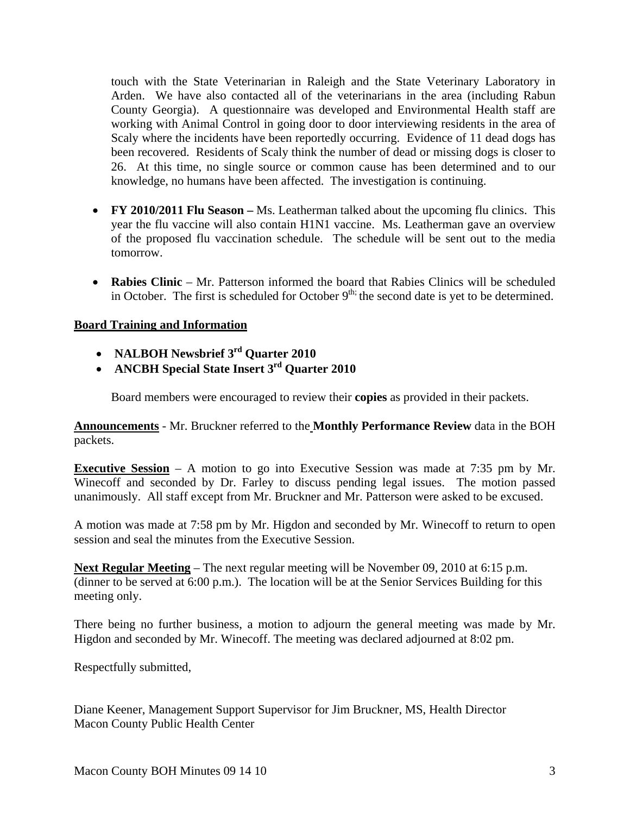touch with the State Veterinarian in Raleigh and the State Veterinary Laboratory in Arden. We have also contacted all of the veterinarians in the area (including Rabun County Georgia). A questionnaire was developed and Environmental Health staff are working with Animal Control in going door to door interviewing residents in the area of Scaly where the incidents have been reportedly occurring. Evidence of 11 dead dogs has been recovered. Residents of Scaly think the number of dead or missing dogs is closer to 26. At this time, no single source or common cause has been determined and to our knowledge, no humans have been affected. The investigation is continuing.

- **FY 2010/2011 Flu Season** Ms. Leatherman talked about the upcoming flu clinics. This year the flu vaccine will also contain H1N1 vaccine. Ms. Leatherman gave an overview of the proposed flu vaccination schedule. The schedule will be sent out to the media tomorrow.
- **Rabies Clinic** Mr. Patterson informed the board that Rabies Clinics will be scheduled in October. The first is scheduled for October  $9<sup>th</sup>$ ; the second date is yet to be determined.

# **Board Training and Information**

- **NALBOH Newsbrief 3rd Quarter 2010**
- **ANCBH Special State Insert 3rd Quarter 2010**

Board members were encouraged to review their **copies** as provided in their packets.

**Announcements** - Mr. Bruckner referred to the **Monthly Performance Review** data in the BOH packets.

**Executive Session** – A motion to go into Executive Session was made at 7:35 pm by Mr. Winecoff and seconded by Dr. Farley to discuss pending legal issues. The motion passed unanimously. All staff except from Mr. Bruckner and Mr. Patterson were asked to be excused.

A motion was made at 7:58 pm by Mr. Higdon and seconded by Mr. Winecoff to return to open session and seal the minutes from the Executive Session.

**Next Regular Meeting** – The next regular meeting will be November 09, 2010 at 6:15 p.m. (dinner to be served at 6:00 p.m.). The location will be at the Senior Services Building for this meeting only.

There being no further business, a motion to adjourn the general meeting was made by Mr. Higdon and seconded by Mr. Winecoff. The meeting was declared adjourned at 8:02 pm.

Respectfully submitted,

Diane Keener, Management Support Supervisor for Jim Bruckner, MS, Health Director Macon County Public Health Center